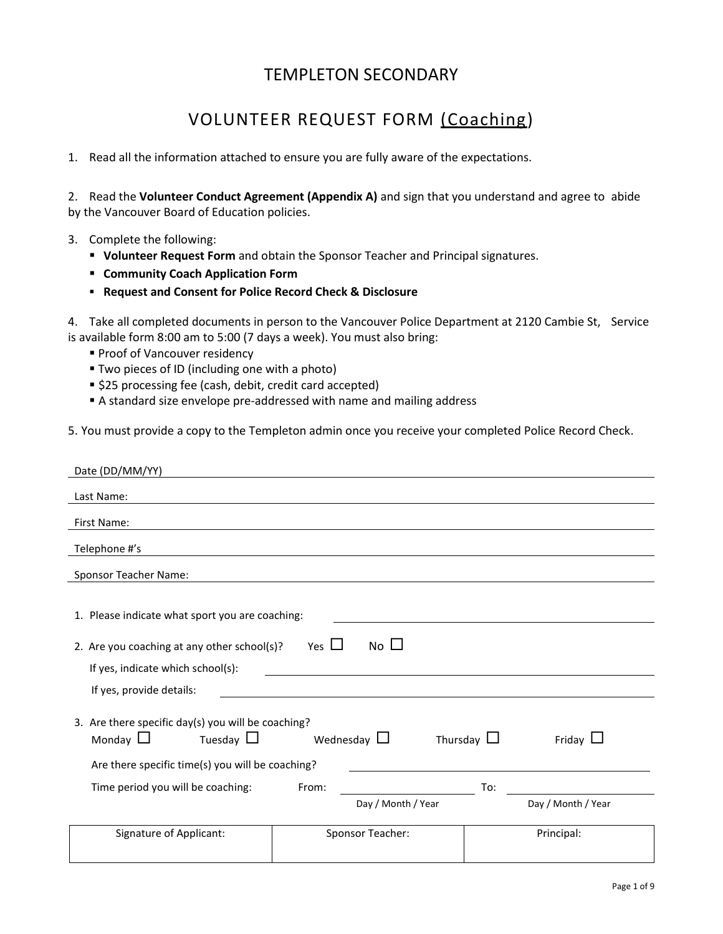# TEMPLETON SECONDARY

# VOLUNTEER REQUEST FORM (Coaching)

1. Read all the information attached to ensure you are fully aware of the expectations.

2. Read the **Volunteer Conduct Agreement (Appendix A)** and sign that you understand and agree to abide by the Vancouver Board of Education policies.

- 3. Complete the following:
	- **Volunteer Request Form** and obtain the Sponsor Teacher and Principal signatures.
	- **Community Coach Application Form**
	- **Request and Consent for Police Record Check & Disclosure**

4. Take all completed documents in person to the Vancouver Police Department at 2120 Cambie St, Service is available form 8:00 am to 5:00 (7 days a week). You must also bring:

- **Proof of Vancouver residency**
- **Two pieces of ID (including one with a photo)**
- \$25 processing fee (cash, debit, credit card accepted)
- A standard size envelope pre-addressed with name and mailing address

5. You must provide a copy to the Templeton admin once you receive your completed Police Record Check.

| Date (DD/MM/YY)                                                                                                                               |            |                    |     |                    |  |  |  |
|-----------------------------------------------------------------------------------------------------------------------------------------------|------------|--------------------|-----|--------------------|--|--|--|
| Last Name:                                                                                                                                    |            |                    |     |                    |  |  |  |
| First Name:                                                                                                                                   |            |                    |     |                    |  |  |  |
| Telephone #'s                                                                                                                                 |            |                    |     |                    |  |  |  |
| Sponsor Teacher Name:                                                                                                                         |            |                    |     |                    |  |  |  |
| 1. Please indicate what sport you are coaching:                                                                                               |            |                    |     |                    |  |  |  |
| 2. Are you coaching at any other school(s)?                                                                                                   | Yes $\Box$ | $No$ $\Box$        |     |                    |  |  |  |
| If yes, indicate which school(s):                                                                                                             |            |                    |     |                    |  |  |  |
| If yes, provide details:                                                                                                                      |            |                    |     |                    |  |  |  |
| 3. Are there specific day(s) you will be coaching?<br>Monday $\Box$<br>Tuesday $\Box$<br>Wednesday $\Box$<br>Thursday $\Box$<br>Friday $\Box$ |            |                    |     |                    |  |  |  |
| Are there specific time(s) you will be coaching?                                                                                              |            |                    |     |                    |  |  |  |
| Time period you will be coaching:                                                                                                             | From:      |                    | To: |                    |  |  |  |
|                                                                                                                                               |            | Day / Month / Year |     | Day / Month / Year |  |  |  |
| Signature of Applicant:                                                                                                                       |            | Sponsor Teacher:   |     | Principal:         |  |  |  |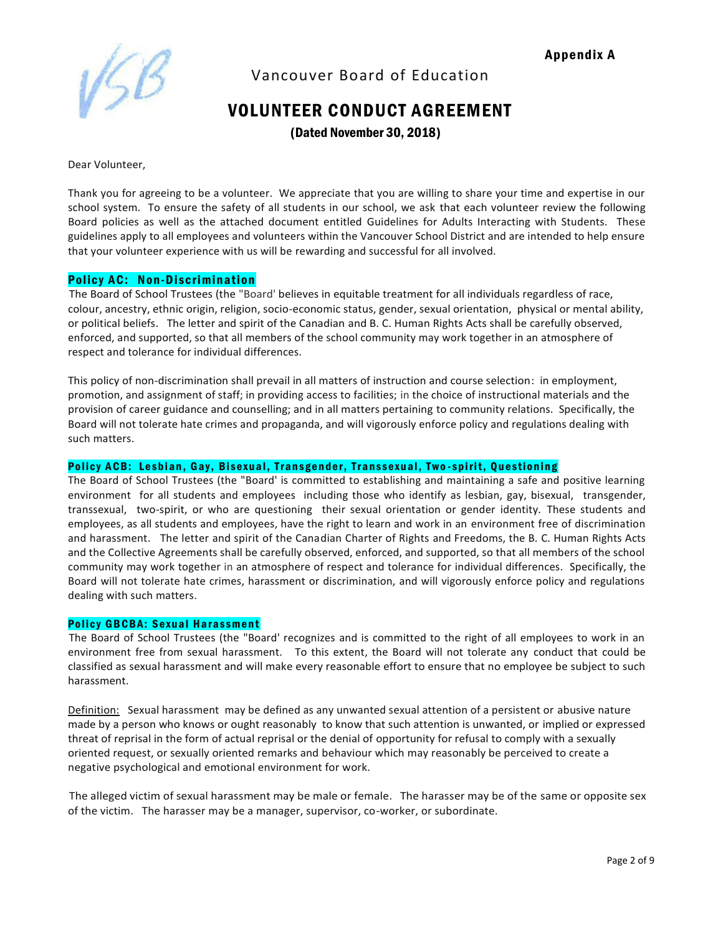Appendix A



Vancouver Board of Education

# VOLUNTEER CONDUCT AGREEMENT

(Dated November 30, 2018)

Dear Volunteer,

Thank you for agreeing to be a volunteer. We appreciate that you are willing to share your time and expertise in our school system. To ensure the safety of all students in our school, we ask that each volunteer review the following Board policies as well as the attached document entitled Guidelines for Adults Interacting with Students. These guidelines apply to all employees and volunteers within the Vancouver School District and are intended to help ensure that your volunteer experience with us will be rewarding and successful for all involved.

#### Policy AC: Non-Discrimination

The Board of School Trustees (the "Board' believes in equitable treatment for all individuals regardless of race, colour, ancestry, ethnic origin, religion, socio-economic status, gender, sexual orientation, physical or mental ability, or political beliefs. The letter and spirit of the Canadian and B. C. Human Rights Acts shall be carefully observed, enforced, and supported, so that all members of the school community may work together in an atmosphere of respect and tolerance for individual differences.

This policy of non-discrimination shall prevail in all matters of instruction and course selection: in employment, promotion, and assignment of staff; in providing access to facilities; in the choice of instructional materials and the provision of career guidance and counselling; and in all matters pertaining to community relations. Specifically, the Board will not tolerate hate crimes and propaganda, and will vigorously enforce policy and regulations dealing with such matters.

#### Policy ACB: Lesbian, Gay, Bisexual, Transgender, Transsexual, Two-spirit, Questioning

The Board of School Trustees (the "Board' is committed to establishing and maintaining a safe and positive learning environment for all students and employees including those who identify as lesbian, gay, bisexual, transgender, transsexual, two-spirit, or who are questioning their sexual orientation or gender identity. These students and employees, as all students and employees, have the right to learn and work in an environment free of discrimination and harassment. The letter and spirit of the Canadian Charter of Rights and Freedoms, the B. C. Human Rights Acts and the Collective Agreements shall be carefully observed, enforced, and supported, so that all members of the school community may work together in an atmosphere of respect and tolerance for individual differences. Specifically, the Board will not tolerate hate crimes, harassment or discrimination, and will vigorously enforce policy and regulations dealing with such matters.

#### Policy GBCBA: Sexual Harassment

The Board of School Trustees (the "Board' recognizes and is committed to the right of all employees to work in an environment free from sexual harassment. To this extent, the Board will not tolerate any conduct that could be classified as sexual harassment and will make every reasonable effort to ensure that no employee be subject to such harassment.

Definition: Sexual harassment may be defined as any unwanted sexual attention of a persistent or abusive nature made by a person who knows or ought reasonably to know that such attention is unwanted, or implied or expressed threat of reprisal in the form of actual reprisal or the denial of opportunity for refusal to comply with a sexually oriented request, or sexually oriented remarks and behaviour which may reasonably be perceived to create a negative psychological and emotional environment for work.

The alleged victim of sexual harassment may be male or female. The harasser may be of the same or opposite sex of the victim. The harasser may be a manager, supervisor, co-worker, or subordinate.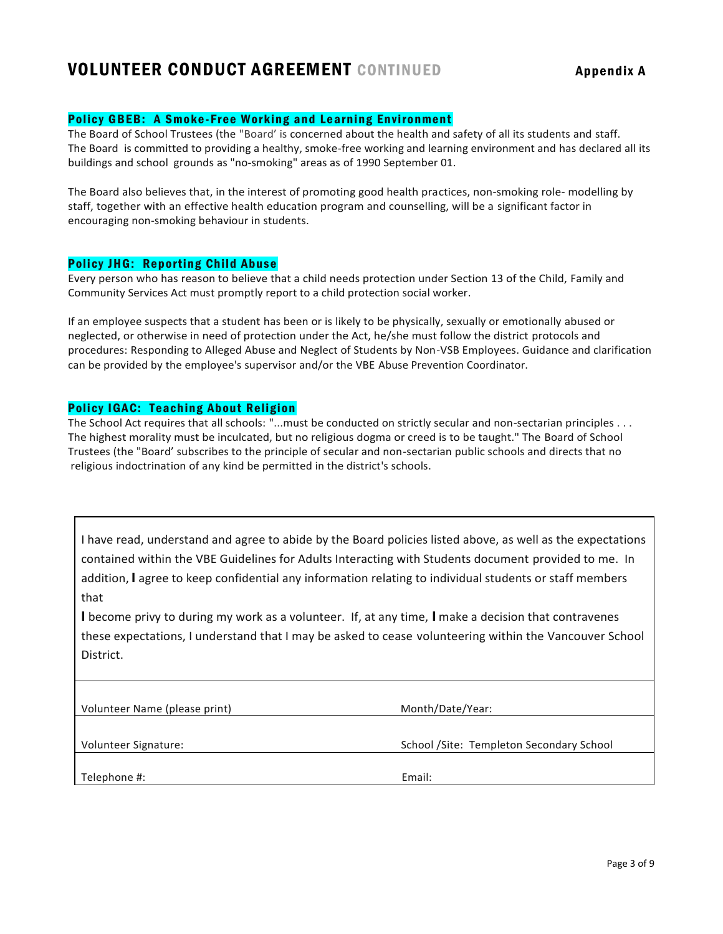# VOLUNTEER CONDUCT AGREEMENT CONTINUED Appendix A

#### Policy GBEB: A Smoke-Free Working and Learning Environment

The Board of School Trustees (the "Board' is concerned about the health and safety of all its students and staff. The Board is committed to providing a healthy, smoke-free working and learning environment and has declared all its buildings and school grounds as "no-smoking" areas as of 1990 September 01.

The Board also believes that, in the interest of promoting good health practices, non-smoking role- modelling by staff, together with an effective health education program and counselling, will be a significant factor in encouraging non-smoking behaviour in students.

#### Policy JHG: Reporting Child Abuse

Every person who has reason to believe that a child needs protection under Section 13 of the Child, Family and Community Services Act must promptly report to a child protection social worker.

If an employee suspects that a student has been or is likely to be physically, sexually or emotionally abused or neglected, or otherwise in need of protection under the Act, he/she must follow the district protocols and procedures: Responding to Alleged Abuse and Neglect of Students by Non-VSB Employees. Guidance and clarification can be provided by the employee's supervisor and/or the VBE Abuse Prevention Coordinator.

#### Policy IGAC: Teaching About Religion

The School Act requires that all schools: "...must be conducted on strictly secular and non-sectarian principles . . . The highest morality must be inculcated, but no religious dogma or creed is to be taught." The Board of School Trustees (the "Board' subscribes to the principle of secular and non-sectarian public schools and directs that no religious indoctrination of any kind be permitted in the district's schools.

I have read, understand and agree to abide by the Board policies listed above, as well as the expectations contained within the VBE Guidelines for Adults Interacting with Students document provided to me. In addition, I agree to keep confidential any information relating to individual students or staff members that

I become privy to during my work as a volunteer. If, at any time, I make a decision that contravenes these expectations, I understand that I may be asked to cease volunteering within the Vancouver School District.

| Volunteer Name (please print) | Month/Date/Year:                         |
|-------------------------------|------------------------------------------|
| Volunteer Signature:          | School /Site: Templeton Secondary School |
| Telephone #:                  | Email:                                   |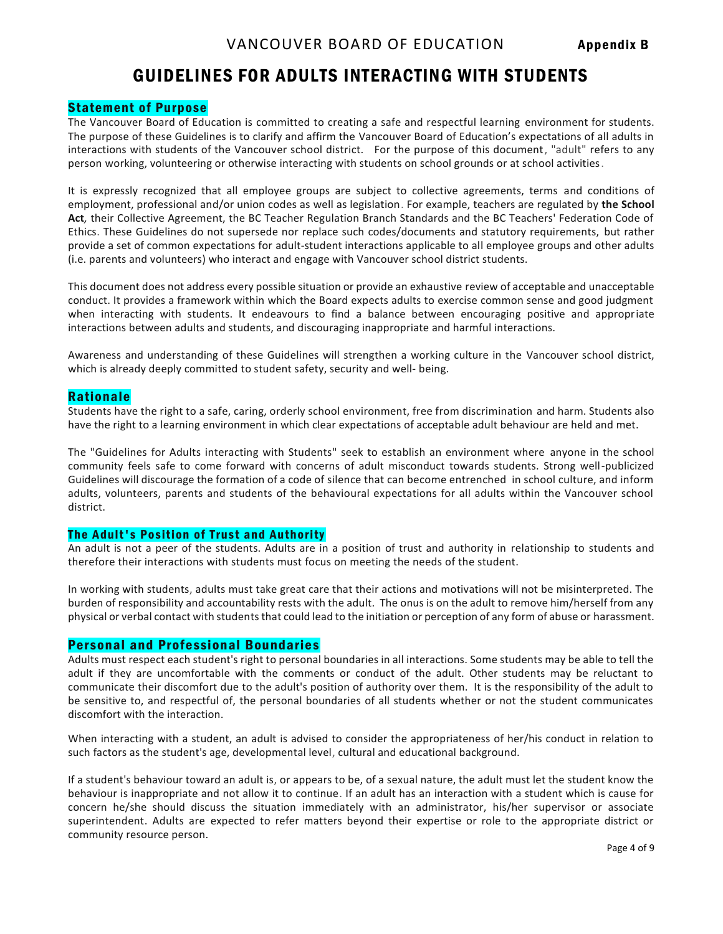# GUIDELINES FOR ADULTS INTERACTING WITH STUDENTS

#### Statement of Purpose

The Vancouver Board of Education is committed to creating a safe and respectful learning environment for students. The purpose of these Guidelines is to clarify and affirm the Vancouver Board of Education's expectations of all adults in interactions with students of the Vancouver school district. For the purpose of this document, "adult" refers to any person working, volunteering or otherwise interacting with students on school grounds or at school activities.

It is expressly recognized that all employee groups are subject to collective agreements, terms and conditions of employment, professional and/or union codes as well as legislation. For example, teachers are regulated by **the School Act***,* their Collective Agreement, the BC Teacher Regulation Branch Standards and the BC Teachers' Federation Code of Ethics. These Guidelines do not supersede nor replace such codes/documents and statutory requirements, but rather provide a set of common expectations for adult-student interactions applicable to all employee groups and other adults (i.e. parents and volunteers) who interact and engage with Vancouver school district students.

This document does not address every possible situation or provide an exhaustive review of acceptable and unacceptable conduct. It provides a framework within which the Board expects adults to exercise common sense and good judgment when interacting with students. It endeavours to find a balance between encouraging positive and appropriate interactions between adults and students, and discouraging inappropriate and harmful interactions.

Awareness and understanding of these Guidelines will strengthen a working culture in the Vancouver school district, which is already deeply committed to student safety, security and well- being.

#### Rationale

Students have the right to a safe, caring, orderly school environment, free from discrimination and harm. Students also have the right to a learning environment in which clear expectations of acceptable adult behaviour are held and met.

The "Guidelines for Adults interacting with Students" seek to establish an environment where anyone in the school community feels safe to come forward with concerns of adult misconduct towards students. Strong well-publicized Guidelines will discourage the formation of a code of silence that can become entrenched in school culture, and inform adults, volunteers, parents and students of the behavioural expectations for all adults within the Vancouver school district.

#### The Adult's Position of Trust and Authority

An adult is not a peer of the students. Adults are in a position of trust and authority in relationship to students and therefore their interactions with students must focus on meeting the needs of the student.

In working with students, adults must take great care that their actions and motivations will not be misinterpreted. The burden of responsibility and accountability rests with the adult. The onus is on the adult to remove him/herself from any physical or verbal contact with students that could lead to the initiation or perception of any form of abuse or harassment.

#### Personal and Professional Boundaries

Adults must respect each student's right to personal boundaries in all interactions. Some students may be able to tell the adult if they are uncomfortable with the comments or conduct of the adult. Other students may be reluctant to communicate their discomfort due to the adult's position of authority over them. It is the responsibility of the adult to be sensitive to, and respectful of, the personal boundaries of all students whether or not the student communicates discomfort with the interaction.

When interacting with a student, an adult is advised to consider the appropriateness of her/his conduct in relation to such factors as the student's age, developmental level, cultural and educational background.

If a student's behaviour toward an adult is, or appears to be, of a sexual nature, the adult must let the student know the behaviour is inappropriate and not allow it to continue. If an adult has an interaction with a student which is cause for concern he/she should discuss the situation immediately with an administrator, his/her supervisor or associate superintendent. Adults are expected to refer matters beyond their expertise or role to the appropriate district or community resource person.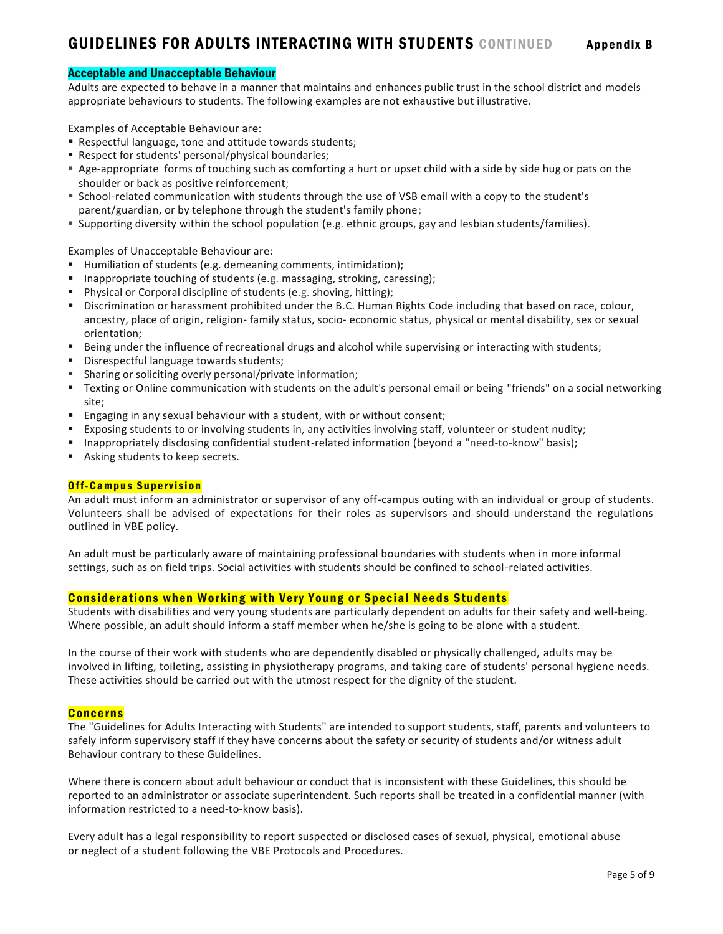### Acceptable and Unacceptable Behaviour

Adults are expected to behave in a manner that maintains and enhances public trust in the school district and models appropriate behaviours to students. The following examples are not exhaustive but illustrative.

Examples of Acceptable Behaviour are:

- Respectful language, tone and attitude towards students;
- Respect for students' personal/physical boundaries;
- Age-appropriate forms of touching such as comforting a hurt or upset child with a side by side hug or pats on the shoulder or back as positive reinforcement;
- School-related communication with students through the use of VSB email with a copy to the student's parent/guardian, or by telephone through the student's family phone;
- Supporting diversity within the school population (e.g. ethnic groups, gay and lesbian students/families).

Examples of Unacceptable Behaviour are:

- Humiliation of students (e.g. demeaning comments, intimidation);
- Inappropriate touching of students (e.g. massaging, stroking, caressing);
- Physical or Corporal discipline of students (e.g. shoving, hitting);
- Discrimination or harassment prohibited under the B.C. Human Rights Code including that based on race, colour, ancestry, place of origin, religion- family status, socio- economic status, physical or mental disability, sex or sexual orientation;
- Being under the influence of recreational drugs and alcohol while supervising or interacting with students;
- Disrespectful language towards students;
- Sharing or soliciting overly personal/private information;
- Texting or Online communication with students on the adult's personal email or being "friends" on a social networking site;
- Engaging in any sexual behaviour with a student, with or without consent;
- Exposing students to or involving students in, any activities involving staff, volunteer or student nudity;
- Inappropriately disclosing confidential student-related information (beyond a "need-to-know" basis);
- Asking students to keep secrets.

#### Off-Campus Supervision

An adult must inform an administrator or supervisor of any off-campus outing with an individual or group of students. Volunteers shall be advised of expectations for their roles as supervisors and should understand the regulations outlined in VBE policy.

An adult must be particularly aware of maintaining professional boundaries with students when in more informal settings, such as on field trips. Social activities with students should be confined to school-related activities.

#### **Considerations when Working with Very Young or Special Needs Students**

Students with disabilities and very young students are particularly dependent on adults for their safety and well-being. Where possible, an adult should inform a staff member when he/she is going to be alone with a student.

In the course of their work with students who are dependently disabled or physically challenged, adults may be involved in lifting, toileting, assisting in physiotherapy programs, and taking care of students' personal hygiene needs. These activities should be carried out with the utmost respect for the dignity of the student.

#### **Concerns**

The "Guidelines for Adults Interacting with Students" are intended to support students, staff, parents and volunteers to safely inform supervisory staff if they have concerns about the safety or security of students and/or witness adult Behaviour contrary to these Guidelines.

Where there is concern about adult behaviour or conduct that is inconsistent with these Guidelines, this should be reported to an administrator or associate superintendent. Such reports shall be treated in a confidential manner (with information restricted to a need-to-know basis).

Every adult has a legal responsibility to report suspected or disclosed cases of sexual, physical, emotional abuse or neglect of a student following the VBE Protocols and Procedures.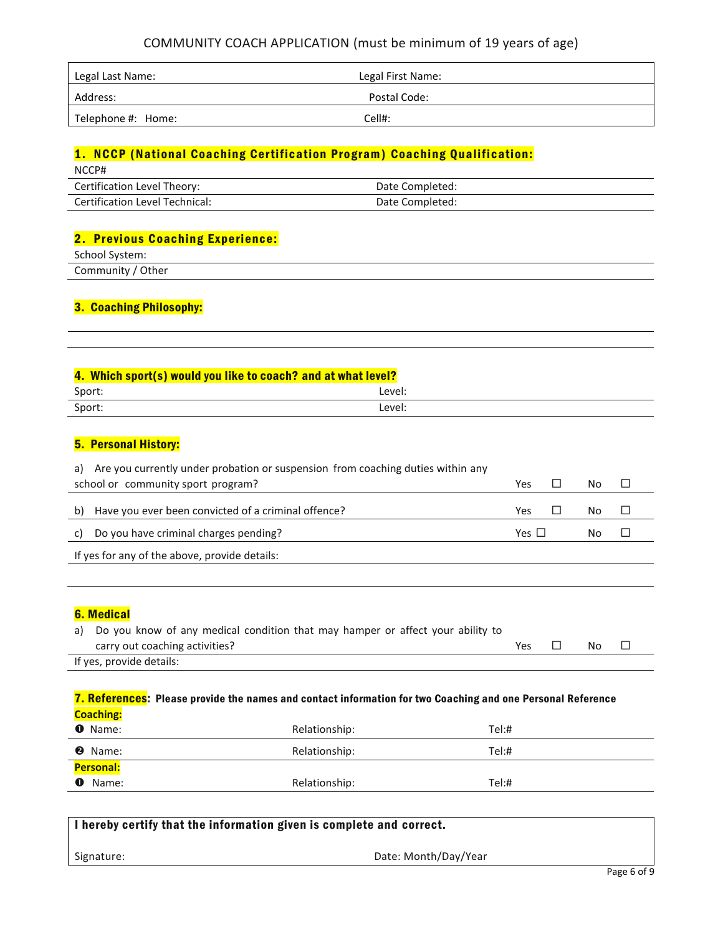# COMMUNITY COACH APPLICATION (must be minimum of 19 years of age)

| Legal Last Name:   | Legal First Name: |
|--------------------|-------------------|
| Address:           | Postal Code:      |
| Telephone #: Home: | Cell#:            |

# 1. NCCP (National Coaching Certification Program) Coaching Qualification:

| NCCP#                                 |                 |
|---------------------------------------|-----------------|
| Certification Level Theory:           | Date Completed: |
| <b>Certification Level Technical:</b> | Date Completed: |

# 2. Previous Coaching Experience:

School System: Community / Other

### 3. Coaching Philosophy:

| 4. Which sport(s) would you like to coach? and at what level? |        |  |  |
|---------------------------------------------------------------|--------|--|--|
| Sport:                                                        | Level: |  |  |
| Sport:                                                        | Level: |  |  |

### 5. Personal History:

| Are you currently under probation or suspension from coaching duties within any<br>a) |       |  |    |  |  |  |
|---------------------------------------------------------------------------------------|-------|--|----|--|--|--|
| school or community sport program?                                                    | Yes   |  | Nο |  |  |  |
| Have you ever been convicted of a criminal offence?<br>b)                             | Yes   |  | Nο |  |  |  |
| Do you have criminal charges pending?<br>C)                                           | Yes ∐ |  |    |  |  |  |
| If yes for any of the above, provide details:                                         |       |  |    |  |  |  |
|                                                                                       |       |  |    |  |  |  |

### 6. Medical

| a) Do you know of any medical condition that may hamper or affect your ability to |            |     |  |
|-----------------------------------------------------------------------------------|------------|-----|--|
| carry out coaching activities?                                                    | Yes $\Box$ | No. |  |
| If yes, provide details:                                                          |            |     |  |

# 7. References: Please provide the names and contact information for two Coaching and one Personal Reference **Coaching:** Name: Relationship: Tel:# Name: Relationship: Tel:# **Personal:**

| $\bullet$ Name:                                                     | Relationship: | Tel:# |
|---------------------------------------------------------------------|---------------|-------|
|                                                                     |               |       |
| I have by contify that the information duan is complete and correct |               |       |

| I hereby certify that the information given is complete and correct. |                      |             |  |  |
|----------------------------------------------------------------------|----------------------|-------------|--|--|
| Signature:                                                           | Date: Month/Day/Year |             |  |  |
|                                                                      |                      | Page 6 of 9 |  |  |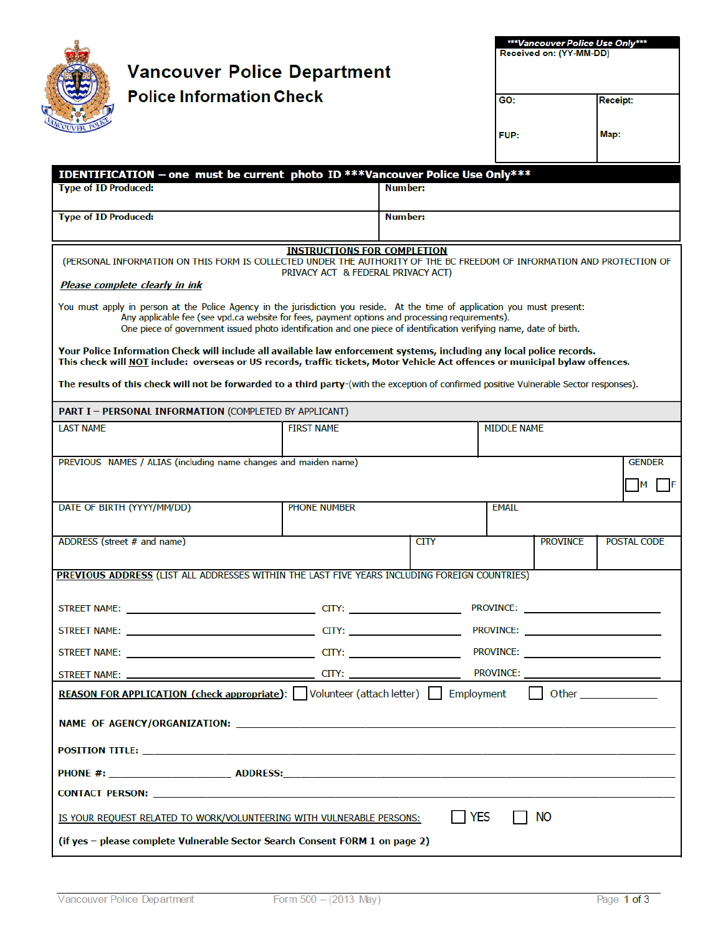|                                                                                                                                                                                                                                                        |                                                                                                                                                                                                                      |              |                               |                         | ***Vancouver Police Use Only*** |
|--------------------------------------------------------------------------------------------------------------------------------------------------------------------------------------------------------------------------------------------------------|----------------------------------------------------------------------------------------------------------------------------------------------------------------------------------------------------------------------|--------------|-------------------------------|-------------------------|---------------------------------|
| <b>Police Information Check</b>                                                                                                                                                                                                                        | <b>Vancouver Police Department</b>                                                                                                                                                                                   |              |                               | Received on: (YY-MM-DD) |                                 |
|                                                                                                                                                                                                                                                        |                                                                                                                                                                                                                      |              | GO:                           |                         | <b>Receipt:</b>                 |
|                                                                                                                                                                                                                                                        |                                                                                                                                                                                                                      |              | <b>FUP:</b>                   |                         | Map:                            |
| IDENTIFICATION - one must be current photo ID ***Vancouver Police Use Only***                                                                                                                                                                          |                                                                                                                                                                                                                      |              |                               |                         |                                 |
| <b>Type of ID Produced:</b>                                                                                                                                                                                                                            |                                                                                                                                                                                                                      | Number:      |                               |                         |                                 |
| <b>Type of ID Produced:</b>                                                                                                                                                                                                                            |                                                                                                                                                                                                                      | Number:      |                               |                         |                                 |
| (PERSONAL INFORMATION ON THIS FORM IS COLLECTED UNDER THE AUTHORITY OF THE BC FREEDOM OF INFORMATION AND PROTECTION OF                                                                                                                                 | <b>INSTRUCTIONS FOR COMPLETION</b>                                                                                                                                                                                   |              |                               |                         |                                 |
| Please complete clearly in ink                                                                                                                                                                                                                         | PRIVACY ACT & FEDERAL PRIVACY ACT)                                                                                                                                                                                   |              |                               |                         |                                 |
| You must apply in person at the Police Agency in the jurisdiction you reside. At the time of application you must present:                                                                                                                             | Any applicable fee (see vpd.ca website for fees, payment options and processing requirements).<br>One piece of government issued photo identification and one piece of identification verifying name, date of birth. |              |                               |                         |                                 |
| Your Police Information Check will include all available law enforcement systems, including any local police records.<br>This check will NOT include: overseas or US records, traffic tickets, Motor Vehicle Act offences or municipal bylaw offences. |                                                                                                                                                                                                                      |              |                               |                         |                                 |
| The results of this check will not be forwarded to a third party-(with the exception of confirmed positive Vulnerable Sector responses).                                                                                                               |                                                                                                                                                                                                                      |              |                               |                         |                                 |
| <b>PART I - PERSONAL INFORMATION (COMPLETED BY APPLICANT)</b>                                                                                                                                                                                          |                                                                                                                                                                                                                      |              |                               |                         |                                 |
| <b>LAST NAME</b>                                                                                                                                                                                                                                       | <b>FIRST NAME</b>                                                                                                                                                                                                    |              | <b>MIDDLE NAME</b>            |                         |                                 |
| PREVIOUS NAMES / ALIAS (including name changes and maiden name)                                                                                                                                                                                        |                                                                                                                                                                                                                      |              |                               |                         | <b>GENDER</b>                   |
|                                                                                                                                                                                                                                                        |                                                                                                                                                                                                                      |              |                               |                         | IM.                             |
| DATE OF BIRTH (YYYY/MM/DD)                                                                                                                                                                                                                             | <b>PHONE NUMBER</b>                                                                                                                                                                                                  |              | <b>EMAIL</b>                  |                         |                                 |
| ADDRESS (street # and name)                                                                                                                                                                                                                            |                                                                                                                                                                                                                      | <b>CITY</b>  |                               | <b>PROVINCE</b>         | <b>POSTAL CODE</b>              |
| PREVIOUS ADDRESS (LIST ALL ADDRESSES WITHIN THE LAST FIVE YEARS INCLUDING FOREIGN COUNTRIES)                                                                                                                                                           |                                                                                                                                                                                                                      |              |                               |                         |                                 |
|                                                                                                                                                                                                                                                        |                                                                                                                                                                                                                      |              |                               |                         |                                 |
| STREET NAME: <u>Name of the state of the state of the state of the state of the state of the state of the state of the state of the state of the state of the state of the state of the state of the state of the state of the s</u>                   |                                                                                                                                                                                                                      |              | PROVINCE:                     |                         |                                 |
|                                                                                                                                                                                                                                                        |                                                                                                                                                                                                                      |              | <b>PROVINCE: Example 2008</b> |                         |                                 |
|                                                                                                                                                                                                                                                        |                                                                                                                                                                                                                      |              |                               |                         |                                 |
|                                                                                                                                                                                                                                                        |                                                                                                                                                                                                                      |              |                               |                         |                                 |
| <b>REASON FOR APPLICATION (check appropriate):</b> Volunteer (attach letter) Funployment   Other _________                                                                                                                                             |                                                                                                                                                                                                                      |              |                               |                         |                                 |
|                                                                                                                                                                                                                                                        |                                                                                                                                                                                                                      |              |                               |                         |                                 |
| <b>POSITION TITLE:</b> THE RESERVE TO A 200 FOR THE RESERVE TO A 200 FOR THE RESERVE TO A 200 FOR THE RESERVE TO A 200 FOR THE RESERVE TO A 200 FOR THE RESERVE TO A 200 FOR THE RESERVE TO A 200 FOR THE RESERVE TO A 200 FOR THE                     |                                                                                                                                                                                                                      |              |                               |                         |                                 |
|                                                                                                                                                                                                                                                        |                                                                                                                                                                                                                      |              |                               |                         |                                 |
| CONTACT PERSON: New York State State State State State State State State State State State State State State S                                                                                                                                         |                                                                                                                                                                                                                      |              |                               |                         |                                 |
| IS YOUR REQUEST RELATED TO WORK/VOLUNTEERING WITH VULNERABLE PERSONS:                                                                                                                                                                                  |                                                                                                                                                                                                                      | <b>I</b> YES | <b>NO</b>                     |                         |                                 |
| (if yes - please complete Vulnerable Sector Search Consent FORM 1 on page 2)                                                                                                                                                                           |                                                                                                                                                                                                                      |              |                               |                         |                                 |
|                                                                                                                                                                                                                                                        |                                                                                                                                                                                                                      |              |                               |                         |                                 |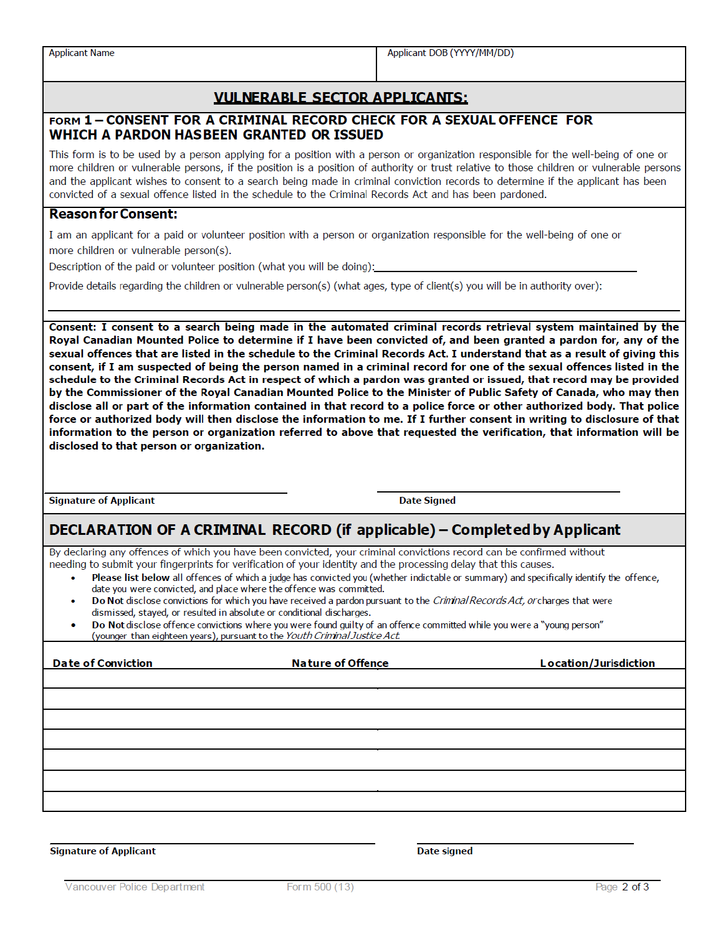**Applicant Name** 

# **VULNERABLE SECTOR APPLICANTS:**

### FORM 1 - CONSENT FOR A CRIMINAL RECORD CHECK FOR A SEXUAL OFFENCE FOR WHICH A PARDON HAS BEEN GRANTED OR ISSUED

This form is to be used by a person applying for a position with a person or organization responsible for the well-being of one or more children or vulnerable persons, if the position is a position of authority or trust relative to those children or vulnerable persons and the applicant wishes to consent to a search being made in criminal conviction records to determine if the applicant has been convicted of a sexual offence listed in the schedule to the Criminal Records Act and has been pardoned.

### **Reason for Consent:**

I am an applicant for a paid or volunteer position with a person or organization responsible for the well-being of one or more children or vulnerable person(s).

Description of the paid or volunteer position (what you will be doing):

Provide details regarding the children or vulnerable person(s) (what ages, type of client(s) you will be in authority over):

Consent: I consent to a search being made in the automated criminal records retrieval system maintained by the Royal Canadian Mounted Police to determine if I have been convicted of, and been granted a pardon for, any of the sexual offences that are listed in the schedule to the Criminal Records Act. I understand that as a result of giving this consent, if I am suspected of being the person named in a criminal record for one of the sexual offences listed in the schedule to the Criminal Records Act in respect of which a pardon was granted or issued, that record may be provided by the Commissioner of the Royal Canadian Mounted Police to the Minister of Public Safety of Canada, who may then disclose all or part of the information contained in that record to a police force or other authorized body. That police force or authorized body will then disclose the information to me. If I further consent in writing to disclosure of that information to the person or organization referred to above that requested the verification, that information will be disclosed to that person or organization.

**Signature of Applicant** 

**Date Signed** 

# DECLARATION OF A CRIMINAL RECORD (if applicable) – Completed by Applicant

By declaring any offences of which you have been convicted, your criminal convictions record can be confirmed without needing to submit your fingerprints for verification of your identity and the processing delay that this causes.

- Please list below all offences of which a judge has convicted you (whether indictable or summary) and specifically identify the offence, date you were convicted, and place where the offence was committed.
- Do Not disclose convictions for which you have received a pardon pursuant to the Criminal Records Act, or charges that were dismissed, stayed, or resulted in absolute or conditional discharges.
- Do Not disclose offence convictions where you were found guilty of an offence committed while you were a "young person" (younger than eighteen years), pursuant to the Youth Criminal Justice Act.

**Date of Conviction Nature of Offence** Location/Jurisdiction

**Signature of Applicant** 

**Date signed**